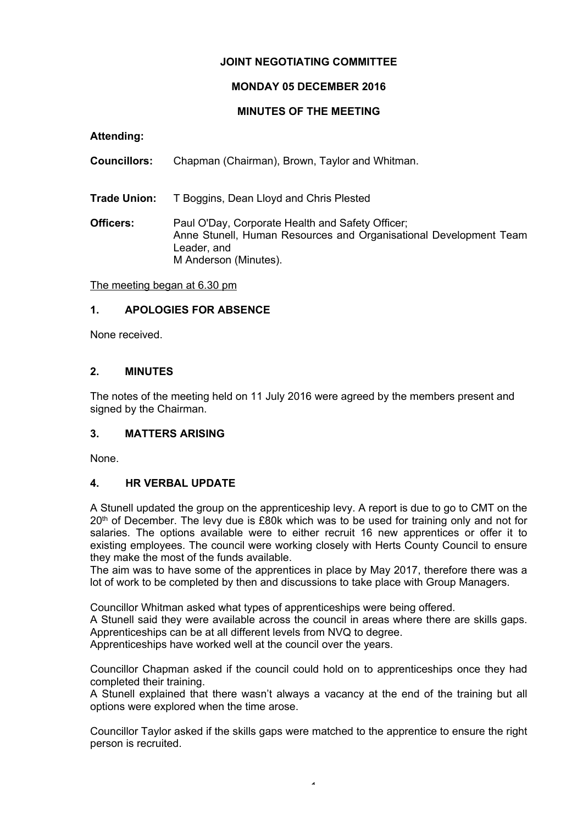# **JOINT NEGOTIATING COMMITTEE**

# **MONDAY 05 DECEMBER 2016**

### **MINUTES OF THE MEETING**

**Attending:**

**Councillors:** Chapman (Chairman), Brown, Taylor and Whitman.

**Trade Union:** T Boggins, Dean Lloyd and Chris Plested

**Officers:** Paul O'Day, Corporate Health and Safety Officer; Anne Stunell, Human Resources and Organisational Development Team Leader, and M Anderson (Minutes).

The meeting began at 6.30 pm

### **1. APOLOGIES FOR ABSENCE**

None received.

# **2. MINUTES**

The notes of the meeting held on 11 July 2016 were agreed by the members present and signed by the Chairman.

# **3. MATTERS ARISING**

None.

### **4. HR VERBAL UPDATE**

A Stunell updated the group on the apprenticeship levy. A report is due to go to CMT on the 20<sup>th</sup> of December. The levy due is £80k which was to be used for training only and not for salaries. The options available were to either recruit 16 new apprentices or offer it to existing employees. The council were working closely with Herts County Council to ensure they make the most of the funds available.

The aim was to have some of the apprentices in place by May 2017, therefore there was a lot of work to be completed by then and discussions to take place with Group Managers.

Councillor Whitman asked what types of apprenticeships were being offered.

A Stunell said they were available across the council in areas where there are skills gaps. Apprenticeships can be at all different levels from NVQ to degree.

Apprenticeships have worked well at the council over the years.

Councillor Chapman asked if the council could hold on to apprenticeships once they had completed their training.

A Stunell explained that there wasn't always a vacancy at the end of the training but all options were explored when the time arose.

Councillor Taylor asked if the skills gaps were matched to the apprentice to ensure the right person is recruited.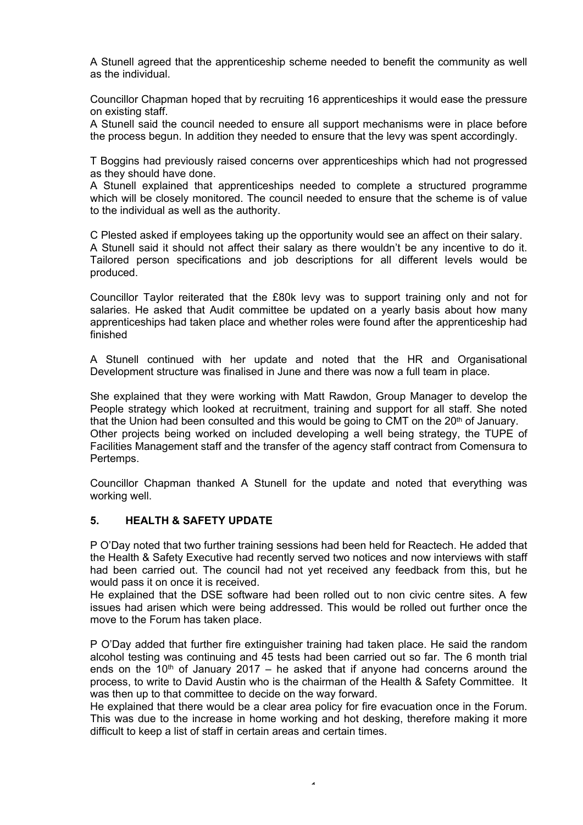A Stunell agreed that the apprenticeship scheme needed to benefit the community as well as the individual.

Councillor Chapman hoped that by recruiting 16 apprenticeships it would ease the pressure on existing staff.

A Stunell said the council needed to ensure all support mechanisms were in place before the process begun. In addition they needed to ensure that the levy was spent accordingly.

T Boggins had previously raised concerns over apprenticeships which had not progressed as they should have done.

A Stunell explained that apprenticeships needed to complete a structured programme which will be closely monitored. The council needed to ensure that the scheme is of value to the individual as well as the authority.

C Plested asked if employees taking up the opportunity would see an affect on their salary. A Stunell said it should not affect their salary as there wouldn't be any incentive to do it. Tailored person specifications and job descriptions for all different levels would be produced.

Councillor Taylor reiterated that the £80k levy was to support training only and not for salaries. He asked that Audit committee be updated on a yearly basis about how many apprenticeships had taken place and whether roles were found after the apprenticeship had finished

A Stunell continued with her update and noted that the HR and Organisational Development structure was finalised in June and there was now a full team in place.

She explained that they were working with Matt Rawdon, Group Manager to develop the People strategy which looked at recruitment, training and support for all staff. She noted that the Union had been consulted and this would be going to CMT on the 20<sup>th</sup> of January. Other projects being worked on included developing a well being strategy, the TUPE of Facilities Management staff and the transfer of the agency staff contract from Comensura to Pertemps.

Councillor Chapman thanked A Stunell for the update and noted that everything was working well.

## **5. HEALTH & SAFETY UPDATE**

P O'Day noted that two further training sessions had been held for Reactech. He added that the Health & Safety Executive had recently served two notices and now interviews with staff had been carried out. The council had not yet received any feedback from this, but he would pass it on once it is received.

He explained that the DSE software had been rolled out to non civic centre sites. A few issues had arisen which were being addressed. This would be rolled out further once the move to the Forum has taken place.

P O'Day added that further fire extinguisher training had taken place. He said the random alcohol testing was continuing and 45 tests had been carried out so far. The 6 month trial ends on the  $10<sup>th</sup>$  of January 2017 – he asked that if anyone had concerns around the process, to write to David Austin who is the chairman of the Health & Safety Committee. It was then up to that committee to decide on the way forward.

He explained that there would be a clear area policy for fire evacuation once in the Forum. This was due to the increase in home working and hot desking, therefore making it more difficult to keep a list of staff in certain areas and certain times.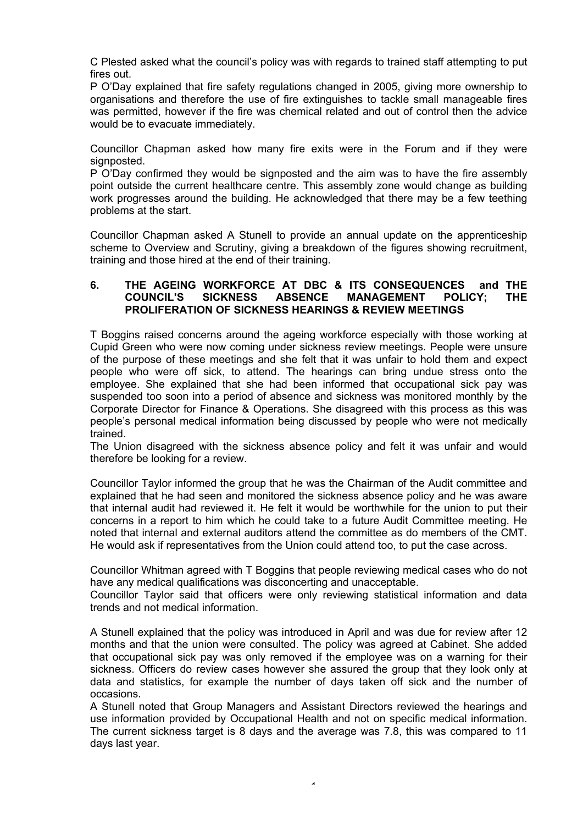C Plested asked what the council's policy was with regards to trained staff attempting to put fires out.

P O'Day explained that fire safety regulations changed in 2005, giving more ownership to organisations and therefore the use of fire extinguishes to tackle small manageable fires was permitted, however if the fire was chemical related and out of control then the advice would be to evacuate immediately.

Councillor Chapman asked how many fire exits were in the Forum and if they were signposted.

P O'Day confirmed they would be signposted and the aim was to have the fire assembly point outside the current healthcare centre. This assembly zone would change as building work progresses around the building. He acknowledged that there may be a few teething problems at the start.

Councillor Chapman asked A Stunell to provide an annual update on the apprenticeship scheme to Overview and Scrutiny, giving a breakdown of the figures showing recruitment, training and those hired at the end of their training.

#### **6. THE AGEING WORKFORCE AT DBC & ITS CONSEQUENCES and THE COUNCIL'S SICKNESS ABSENCE MANAGEMENT POLICY; THE PROLIFERATION OF SICKNESS HEARINGS & REVIEW MEETINGS**

T Boggins raised concerns around the ageing workforce especially with those working at Cupid Green who were now coming under sickness review meetings. People were unsure of the purpose of these meetings and she felt that it was unfair to hold them and expect people who were off sick, to attend. The hearings can bring undue stress onto the employee. She explained that she had been informed that occupational sick pay was suspended too soon into a period of absence and sickness was monitored monthly by the Corporate Director for Finance & Operations. She disagreed with this process as this was people's personal medical information being discussed by people who were not medically trained.

The Union disagreed with the sickness absence policy and felt it was unfair and would therefore be looking for a review.

Councillor Taylor informed the group that he was the Chairman of the Audit committee and explained that he had seen and monitored the sickness absence policy and he was aware that internal audit had reviewed it. He felt it would be worthwhile for the union to put their concerns in a report to him which he could take to a future Audit Committee meeting. He noted that internal and external auditors attend the committee as do members of the CMT. He would ask if representatives from the Union could attend too, to put the case across.

Councillor Whitman agreed with T Boggins that people reviewing medical cases who do not have any medical qualifications was disconcerting and unacceptable.

Councillor Taylor said that officers were only reviewing statistical information and data trends and not medical information.

A Stunell explained that the policy was introduced in April and was due for review after 12 months and that the union were consulted. The policy was agreed at Cabinet. She added that occupational sick pay was only removed if the employee was on a warning for their sickness. Officers do review cases however she assured the group that they look only at data and statistics, for example the number of days taken off sick and the number of occasions.

A Stunell noted that Group Managers and Assistant Directors reviewed the hearings and use information provided by Occupational Health and not on specific medical information. The current sickness target is 8 days and the average was 7.8, this was compared to 11 days last year.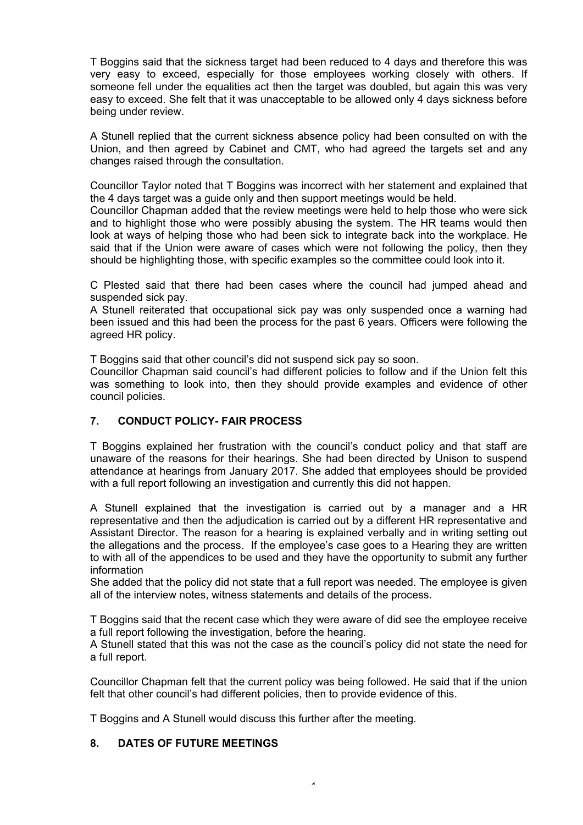T Boggins said that the sickness target had been reduced to 4 days and therefore this was very easy to exceed, especially for those employees working closely with others. If someone fell under the equalities act then the target was doubled, but again this was very easy to exceed. She felt that it was unacceptable to be allowed only 4 days sickness before being under review.

A Stunell replied that the current sickness absence policy had been consulted on with the Union, and then agreed by Cabinet and CMT, who had agreed the targets set and any changes raised through the consultation.

Councillor Taylor noted that T Boggins was incorrect with her statement and explained that the 4 days target was a guide only and then support meetings would be held.

Councillor Chapman added that the review meetings were held to help those who were sick and to highlight those who were possibly abusing the system. The HR teams would then look at ways of helping those who had been sick to integrate back into the workplace. He said that if the Union were aware of cases which were not following the policy, then they should be highlighting those, with specific examples so the committee could look into it.

C Plested said that there had been cases where the council had jumped ahead and suspended sick pay.

A Stunell reiterated that occupational sick pay was only suspended once a warning had been issued and this had been the process for the past 6 years. Officers were following the agreed HR policy.

T Boggins said that other council's did not suspend sick pay so soon.

Councillor Chapman said council's had different policies to follow and if the Union felt this was something to look into, then they should provide examples and evidence of other council policies.

### **7. CONDUCT POLICY- FAIR PROCESS**

T Boggins explained her frustration with the council's conduct policy and that staff are unaware of the reasons for their hearings. She had been directed by Unison to suspend attendance at hearings from January 2017. She added that employees should be provided with a full report following an investigation and currently this did not happen.

A Stunell explained that the investigation is carried out by a manager and a HR representative and then the adjudication is carried out by a different HR representative and Assistant Director. The reason for a hearing is explained verbally and in writing setting out the allegations and the process. If the employee's case goes to a Hearing they are written to with all of the appendices to be used and they have the opportunity to submit any further information

She added that the policy did not state that a full report was needed. The employee is given all of the interview notes, witness statements and details of the process.

T Boggins said that the recent case which they were aware of did see the employee receive a full report following the investigation, before the hearing.

A Stunell stated that this was not the case as the council's policy did not state the need for a full report.

Councillor Chapman felt that the current policy was being followed. He said that if the union felt that other council's had different policies, then to provide evidence of this.

 $\overline{a}$ 

T Boggins and A Stunell would discuss this further after the meeting.

#### **8. DATES OF FUTURE MEETINGS**